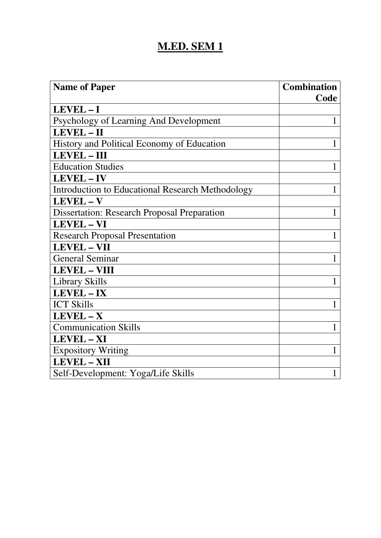## **M.ED. SEM 1**

| <b>Name of Paper</b>                               | <b>Combination</b> |
|----------------------------------------------------|--------------------|
|                                                    | Code               |
| LEVEL-I                                            |                    |
| Psychology of Learning And Development             | 1                  |
| <b>LEVEL-II</b>                                    |                    |
| History and Political Economy of Education         | 1                  |
| <b>LEVEL-III</b>                                   |                    |
| <b>Education Studies</b>                           | 1                  |
| LEVEL-IV                                           |                    |
| Introduction to Educational Research Methodology   | 1                  |
| $LEVEL - V$                                        |                    |
| <b>Dissertation: Research Proposal Preparation</b> | $\mathbf{1}$       |
| <b>LEVEL - VI</b>                                  |                    |
| <b>Research Proposal Presentation</b>              | $\mathbf{1}$       |
| <b>LEVEL - VII</b>                                 |                    |
| <b>General Seminar</b>                             | 1                  |
| <b>LEVEL - VIII</b>                                |                    |
| Library Skills                                     | 1                  |
| LEVEL - IX                                         |                    |
| <b>ICT Skills</b>                                  | 1                  |
| $LEVEL - X$                                        |                    |
| <b>Communication Skills</b>                        | 1                  |
| LEVEL - XI                                         |                    |
| <b>Expository Writing</b>                          | 1                  |
| <b>LEVEL - XII</b>                                 |                    |
| Self-Development: Yoga/Life Skills                 | 1                  |